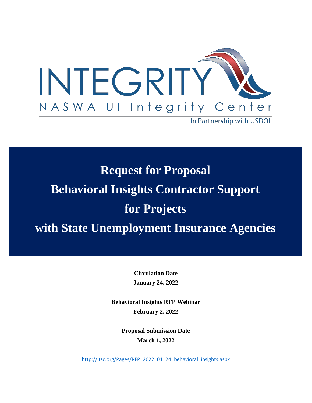

**Request for Proposal Behavioral Insights Contractor Support for Projects with State Unemployment Insurance Agencies**

> **Circulation Date January 24, 2022**

**Behavioral Insights RFP Webinar February 2, 2022**

> **Proposal Submission Date March 1, 2022**

[http://itsc.org/Pages/RFP\\_2022\\_01\\_24\\_behavioral\\_insights.aspx](http://itsc.org/Pages/RFP_2022_01_24_behavioral_insights.aspx)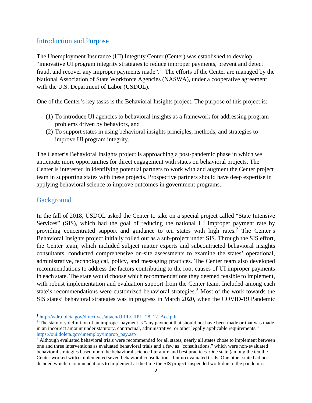### Introduction and Purpose

The Unemployment Insurance (UI) Integrity Center (Center) was established to develop "innovative UI program integrity strategies to reduce improper payments, prevent and detect fraud, and recover any improper payments made".<sup>[1](#page-1-0)</sup> The efforts of the Center are managed by the National Association of State Workforce Agencies (NASWA), under a cooperative agreement with the U.S. Department of Labor (USDOL).

One of the Center's key tasks is the Behavioral Insights project. The purpose of this project is:

- (1) To introduce UI agencies to behavioral insights as a framework for addressing program problems driven by behaviors, and
- (2) To support states in using behavioral insights principles, methods, and strategies to improve UI program integrity.

The Center's Behavioral Insights project is approaching a post-pandemic phase in which we anticipate more opportunities for direct engagement with states on behavioral projects. The Center is interested in identifying potential partners to work with and augment the Center project team in supporting states with these projects. Prospective partners should have deep expertise in applying behavioral science to improve outcomes in government programs.

## Background

In the fall of 2018, USDOL asked the Center to take on a special project called "State Intensive Services" (SIS), which had the goal of reducing the national UI improper payment rate by providing concentrated support and guidance to ten states with high rates. [2](#page-1-1) The Center's Behavioral Insights project initially rolled out as a sub-project under SIS. Through the SIS effort, the Center team, which included subject matter experts and subcontracted behavioral insights consultants, conducted comprehensive on-site assessments to examine the states' operational, administrative, technological, policy, and messaging practices. The Center team also developed recommendations to address the factors contributing to the root causes of UI improper payments in each state. The state would choose which recommendations they deemed feasible to implement, with robust implementation and evaluation support from the Center team. Included among each state's recommendations were customized behavioral strategies.<sup>[3](#page-1-2)</sup> Most of the work towards the SIS states' behavioral strategies was in progress in March 2020, when the COVID-19 Pandemic

<span id="page-1-0"></span><sup>&</sup>lt;sup>1</sup> [http://wdr.doleta.gov/directives/attach/UIPL/UIPL\\_28\\_12\\_Acc.pdf](http://wdr.doleta.gov/directives/attach/UIPL/UIPL_28_12_Acc.pdf)

<span id="page-1-1"></span><sup>&</sup>lt;sup>2</sup> The statutory definition of an improper payment is "any payment that should not have been made or that was made in an incorrect amount under statutory, contractual, administrative, or other legally applicable requirements." [https://oui.doleta.gov/unemploy/improp\\_pay.asp](https://oui.doleta.gov/unemploy/improp_pay.asp)

<span id="page-1-2"></span><sup>&</sup>lt;sup>3</sup> Although evaluated behavioral trials were recommended for all states, nearly all states chose to implement between one and three interventions as evaluated behavioral trials and a few as "consultations," which were non-evaluated behavioral strategies based upon the behavioral science literature and best practices. One state (among the ten the Center worked with) implemented seven behavioral consultations, but no evaluated trials. One other state had not decided which recommendations to implement at the time the SIS project suspended work due to the pandemic.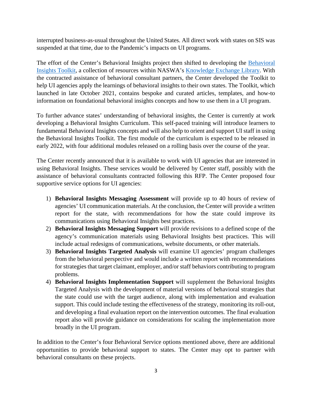interrupted business-as-usual throughout the United States. All direct work with states on SIS was suspended at that time, due to the Pandemic's impacts on UI programs.

The effort of the Center's Behavioral Insights project then shifted to developing the [Behavioral](https://library.naswa.org/bitoolkit)  [Insights Toolkit,](https://library.naswa.org/bitoolkit) a collection of resources within NASWA's [Knowledge Exchange Library.](https://library.naswa.org/) With the contracted assistance of behavioral consultant partners, the Center developed the Toolkit to help UI agencies apply the learnings of behavioral insights to their own states. The Toolkit, which launched in late October 2021, contains bespoke and curated articles, templates, and how-to information on foundational behavioral insights concepts and how to use them in a UI program.

To further advance states' understanding of behavioral insights, the Center is currently at work developing a Behavioral Insights Curriculum. This self-paced training will introduce learners to fundamental Behavioral Insights concepts and will also help to orient and support UI staff in using the Behavioral Insights Toolkit. The first module of the curriculum is expected to be released in early 2022, with four additional modules released on a rolling basis over the course of the year.

The Center recently announced that it is available to work with UI agencies that are interested in using Behavioral Insights. These services would be delivered by Center staff, possibly with the assistance of behavioral consultants contracted following this RFP. The Center proposed four supportive service options for UI agencies:

- 1) **Behavioral Insights Messaging Assessment** will provide up to 40 hours of review of agencies' UI communication materials. At the conclusion, the Center will provide a written report for the state, with recommendations for how the state could improve its communications using Behavioral Insights best practices.
- 2) **Behavioral Insights Messaging Support** will provide revisions to a defined scope of the agency's communication materials using Behavioral Insights best practices. This will include actual redesigns of communications, website documents, or other materials.
- 3) **Behavioral Insights Targeted Analysis** will examine UI agencies' program challenges from the behavioral perspective and would include a written report with recommendations for strategies that target claimant, employer, and/or staff behaviors contributing to program problems.
- 4) **Behavioral Insights Implementation Support** will supplement the Behavioral Insights Targeted Analysis with the development of material versions of behavioral strategies that the state could use with the target audience, along with implementation and evaluation support. This could include testing the effectiveness of the strategy, monitoring its roll-out, and developing a final evaluation report on the intervention outcomes. The final evaluation report also will provide guidance on considerations for scaling the implementation more broadly in the UI program.

In addition to the Center's four Behavioral Service options mentioned above, there are additional opportunities to provide behavioral support to states. The Center may opt to partner with behavioral consultants on these projects.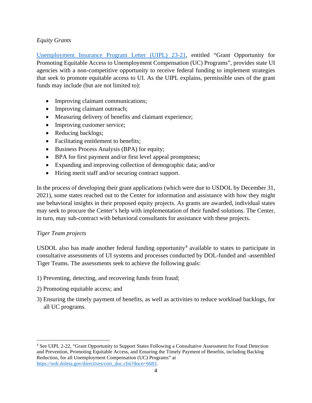### *Equity Grants*

[Unemployment Insurance Program Letter \(UIPL\) 23-21,](https://wdr.doleta.gov/directives/corr_doc.cfm?DOCN=7400) entitled "Grant Opportunity for Promoting Equitable Access to Unemployment Compensation (UC) Programs", provides state UI agencies with a non-competitive opportunity to receive federal funding to implement strategies that seek to promote equitable access to UI. As the UIPL explains, permissible uses of the grant funds may include (but are not limited to):

- Improving claimant communications;
- Improving claimant outreach;
- Measuring delivery of benefits and claimant experience;
- Improving customer service;
- Reducing backlogs;
- Facilitating entitlement to benefits;
- Business Process Analysis (BPA) for equity;
- BPA for first payment and/or first level appeal promptness;
- Expanding and improving collection of demographic data; and/or
- Hiring merit staff and/or securing contract support.

In the process of developing their grant applications (which were due to USDOL by December 31, 2021), some states reached out to the Center for information and assistance with how they might use behavioral insights in their proposed equity projects. As grants are awarded, individual states may seek to procure the Center's help with implementation of their funded solutions. The Center, in turn, may sub-contract with behavioral consultants for assistance with these projects.

### *Tiger Team projects*

USDOL also has made another federal funding opportunity<sup>[4](#page-3-0)</sup> available to states to participate in consultative assessments of UI systems and processes conducted by DOL-funded and -assembled Tiger Teams. The assessments seek to achieve the following goals:

- 1) Preventing, detecting, and recovering funds from fraud;
- 2) Promoting equitable access; and
- 3) Ensuring the timely payment of benefits, as well as activities to reduce workload backlogs, for all UC programs.

<span id="page-3-0"></span><sup>4</sup> See UIPL 2-22, "Grant Opportunity to Support States Following a Consultative Assessment for Fraud Detection and Prevention, Promoting Equitable Access, and Ensuring the Timely Payment of Benefits, including Backlog Reduction, for all Unemployment Compensation (UC) Programs" at [https://wdr.doleta.gov/directives/corr\\_doc.cfm?docn=6683.](https://wdr.doleta.gov/directives/corr_doc.cfm?docn=6683)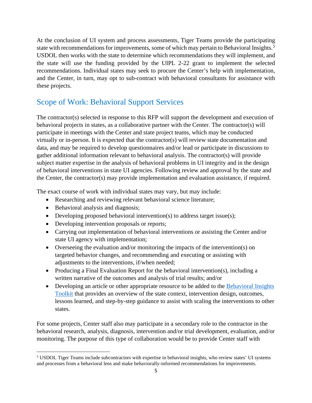At the conclusion of UI system and process assessments, Tiger Teams provide the participating state with recommendations for improvements, some of which may pertain to Behavioral Insights.<sup>[5](#page-4-0)</sup> USDOL then works with the state to determine which recommendations they will implement, and the state will use the funding provided by the UIPL 2-22 grant to implement the selected recommendations. Individual states may seek to procure the Center's help with implementation, and the Center, in turn, may opt to sub-contract with behavioral consultants for assistance with these projects.

# Scope of Work: Behavioral Support Services

The contractor(s) selected in response to this RFP will support the development and execution of behavioral projects in states, as a collaborative partner with the Center. The contractor(s) will participate in meetings with the Center and state project teams, which may be conducted virtually or in-person. It is expected that the contractor(s) will review state documentation and data, and may be required to develop questionnaires and/or lead or participate in discussions to gather additional information relevant to behavioral analysis. The contractor(s) will provide subject matter expertise in the analysis of behavioral problems in UI integrity and in the design of behavioral interventions in state UI agencies. Following review and approval by the state and the Center, the contractor(s) may provide implementation and evaluation assistance, if required.

The exact course of work with individual states may vary, but may include:

- Researching and reviewing relevant behavioral science literature;
- Behavioral analysis and diagnosis;
- Developing proposed behavioral intervention(s) to address target issue(s);
- Developing intervention proposals or reports;
- Carrying out implementation of behavioral interventions or assisting the Center and/or state UI agency with implementation;
- Overseeing the evaluation and/or monitoring the impacts of the intervention(s) on targeted behavior changes, and recommending and executing or assisting with adjustments to the interventions, if/when needed;
- Producing a Final Evaluation Report for the behavioral intervention(s), including a written narrative of the outcomes and analysis of trial results; and/or
- Developing an article or other appropriate resource to be added to the Behavioral Insights [Toolkit](https://library.naswa.org/bitoolkit) that provides an overview of the state context, intervention design, outcomes, lessons learned, and step-by-step guidance to assist with scaling the interventions to other states.

For some projects, Center staff also may participate in a secondary role to the contractor in the behavioral research, analysis, diagnosis, intervention and/or trial development, evaluation, and/or monitoring. The purpose of this type of collaboration would be to provide Center staff with

<span id="page-4-0"></span><sup>5</sup> USDOL Tiger Teams include subcontractors with expertise in behavioral insights, who review states' UI systems and processes from a behavioral lens and make behaviorally-informed recommendations for improvements.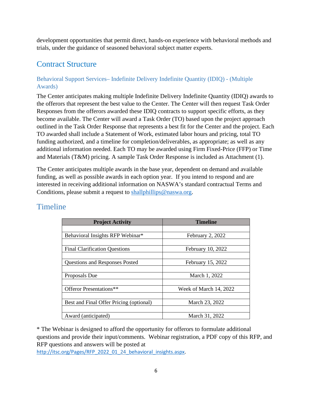development opportunities that permit direct, hands-on experience with behavioral methods and trials, under the guidance of seasoned behavioral subject matter experts.

# Contract Structure

## Behavioral Support Services– Indefinite Delivery Indefinite Quantity (IDIQ) - (Multiple Awards)

The Center anticipates making multiple Indefinite Delivery Indefinite Quantity (IDIQ) awards to the offerors that represent the best value to the Center. The Center will then request Task Order Responses from the offerors awarded these IDIQ contracts to support specific efforts, as they become available. The Center will award a Task Order (TO) based upon the project approach outlined in the Task Order Response that represents a best fit for the Center and the project. Each TO awarded shall include a Statement of Work, estimated labor hours and pricing, total TO funding authorized, and a timeline for completion/deliverables, as appropriate; as well as any additional information needed. Each TO may be awarded using Firm Fixed-Price (FFP) or Time and Materials (T&M) pricing. A sample Task Order Response is included as Attachment (1).

The Center anticipates multiple awards in the base year, dependent on demand and available funding, as well as possible awards in each option year. If you intend to respond and are interested in receiving additional information on NASWA's standard contractual Terms and Conditions, please submit a request to [shallphillips@naswa.org.](mailto:shallphillips@naswa.org)

| <b>Project Activity</b>                 | <b>Timeline</b>        |  |  |  |
|-----------------------------------------|------------------------|--|--|--|
|                                         |                        |  |  |  |
| Behavioral Insights RFP Webinar*        | February 2, 2022       |  |  |  |
|                                         |                        |  |  |  |
| <b>Final Clarification Questions</b>    | February 10, 2022      |  |  |  |
|                                         |                        |  |  |  |
| <b>Questions and Responses Posted</b>   | February 15, 2022      |  |  |  |
|                                         |                        |  |  |  |
| Proposals Due                           | March 1, 2022          |  |  |  |
|                                         |                        |  |  |  |
| Offeror Presentations**                 | Week of March 14, 2022 |  |  |  |
|                                         |                        |  |  |  |
| Best and Final Offer Pricing (optional) | March 23, 2022         |  |  |  |
|                                         |                        |  |  |  |
| Award (anticipated)                     | March 31, 2022         |  |  |  |

# Timeline

\* The Webinar is designed to afford the opportunity for offerors to formulate additional questions and provide their input/comments. Webinar registration, a PDF copy of this RFP, and RFP questions and answers will be posted at

[http://itsc.org/Pages/RFP\\_2022\\_01\\_24\\_behavioral\\_insights.aspx.](http://itsc.org/Pages/RFP_2022_01_24_behavioral_insights.aspx)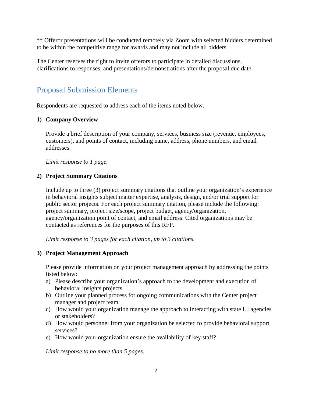\*\* Offeror presentations will be conducted remotely via Zoom with selected bidders determined to be within the competitive range for awards and may not include all bidders.

The Center reserves the right to invite offerors to participate in detailed discussions, clarifications to responses, and presentations/demonstrations after the proposal due date.

# Proposal Submission Elements

Respondents are requested to address each of the items noted below.

### **1) Company Overview**

Provide a brief description of your company, services, business size (revenue, employees, customers), and points of contact, including name, address, phone numbers, and email addresses.

*Limit response to 1 page.*

### **2) Project Summary Citations**

Include up to three (3) project summary citations that outline your organization's experience in behavioral insights subject matter expertise, analysis, design, and/or trial support for public sector projects. For each project summary citation, please include the following: project summary, project size/scope, project budget, agency/organization, agency/organization point of contact, and email address. Cited organizations may be contacted as references for the purposes of this RFP.

*Limit response to 3 pages for each citation, up to 3 citations.*

### **3) Project Management Approach**

Please provide information on your project management approach by addressing the points listed below:

- a) Please describe your organization's approach to the development and execution of behavioral insights projects.
- b) Outline your planned process for ongoing communications with the Center project manager and project team.
- c) How would your organization manage the approach to interacting with state UI agencies or stakeholders?
- d) How would personnel from your organization be selected to provide behavioral support services?
- e) How would your organization ensure the availability of key staff?

*Limit response to no more than 5 pages.*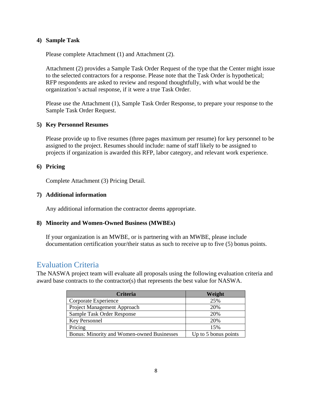### **4) Sample Task**

Please complete Attachment (1) and Attachment (2).

Attachment (2) provides a Sample Task Order Request of the type that the Center might issue to the selected contractors for a response. Please note that the Task Order is hypothetical; RFP respondents are asked to review and respond thoughtfully, with what would be the organization's actual response, if it were a true Task Order.

Please use the Attachment (1), Sample Task Order Response, to prepare your response to the Sample Task Order Request.

### **5) Key Personnel Resumes**

Please provide up to five resumes (three pages maximum per resume) for key personnel to be assigned to the project. Resumes should include: name of staff likely to be assigned to projects if organization is awarded this RFP, labor category, and relevant work experience.

#### **6) Pricing**

Complete Attachment (3) Pricing Detail.

### **7) Additional information**

Any additional information the contractor deems appropriate.

#### **8) Minority and Women-Owned Business (MWBEs)**

If your organization is an MWBE, or is partnering with an MWBE, please include documentation certification your/their status as such to receive up to five (5) bonus points.

# Evaluation Criteria

The NASWA project team will evaluate all proposals using the following evaluation criteria and award base contracts to the contractor(s) that represents the best value for NASWA.

| <b>Criteria</b>                                   | Weight               |
|---------------------------------------------------|----------------------|
| Corporate Experience                              | 25%                  |
| Project Management Approach                       | 20%                  |
| Sample Task Order Response                        | 20%                  |
| Key Personnel                                     | 20%                  |
| Pricing                                           | 15%                  |
| <b>Bonus: Minority and Women-owned Businesses</b> | Up to 5 bonus points |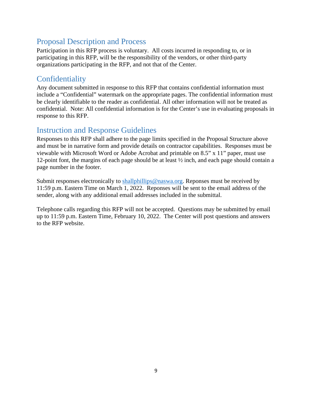# Proposal Description and Process

Participation in this RFP process is voluntary. All costs incurred in responding to, or in participating in this RFP, will be the responsibility of the vendors, or other third-party organizations participating in the RFP, and not that of the Center.

# **Confidentiality**

Any document submitted in response to this RFP that contains confidential information must include a "Confidential" watermark on the appropriate pages. The confidential information must be clearly identifiable to the reader as confidential. All other information will not be treated as confidential. Note: All confidential information is for the Center's use in evaluating proposals in response to this RFP.

# Instruction and Response Guidelines

Responses to this RFP shall adhere to the page limits specified in the Proposal Structure above and must be in narrative form and provide details on contractor capabilities. Responses must be viewable with Microsoft Word or Adobe Acrobat and printable on 8.5" x 11" paper, must use 12-point font, the margins of each page should be at least ½ inch, and each page should contain a page number in the footer.

Submit responses electronically to [shallphillips@naswa.org.](mailto:shallphillips@naswa.org) Reponses must be received by 11:59 p.m. Eastern Time on March 1, 2022. Reponses will be sent to the email address of the sender, along with any additional email addresses included in the submittal.

Telephone calls regarding this RFP will not be accepted. Questions may be submitted by email up to 11:59 p.m. Eastern Time, February 10, 2022. The Center will post questions and answers to the RFP website.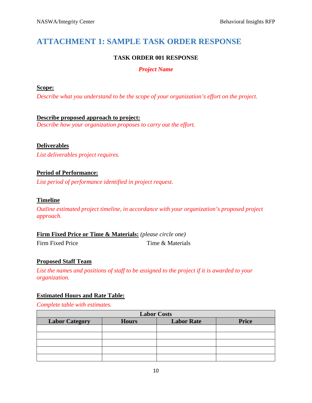# **ATTACHMENT 1: SAMPLE TASK ORDER RESPONSE**

## **TASK ORDER 001 RESPONSE**

### *Project Name*

### **Scope:**

*Describe what you understand to be the scope of your organization's effort on the project.*

## **Describe proposed approach to project:**

*Describe how your organization proposes to carry out the effort.*

### **Deliverables**

*List deliverables project requires.*

### **Period of Performance:**

*List period of performance identified in project request.*

### **Timeline**

*Outline estimated project timeline, in accordance with your organization's proposed project approach.*

**Firm Fixed Price or Time & Materials:** *(please circle one)* Firm Fixed Price Time & Materials

### **Proposed Staff Team**

*List the names and positions of staff to be assigned to the project if it is awarded to your organization.*

### **Estimated Hours and Rate Table:**

*Complete table with estimates.*

| <b>Labor Costs</b>    |              |                   |              |  |
|-----------------------|--------------|-------------------|--------------|--|
| <b>Labor Category</b> | <b>Hours</b> | <b>Labor Rate</b> | <b>Price</b> |  |
|                       |              |                   |              |  |
|                       |              |                   |              |  |
|                       |              |                   |              |  |
|                       |              |                   |              |  |
|                       |              |                   |              |  |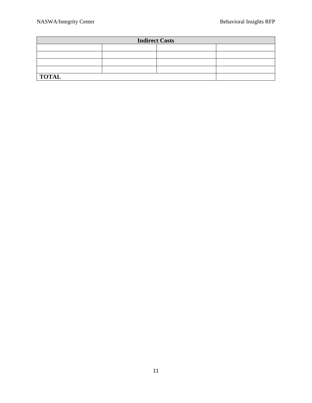| <b>Indirect Costs</b> |  |  |  |
|-----------------------|--|--|--|
|                       |  |  |  |
|                       |  |  |  |
|                       |  |  |  |
|                       |  |  |  |
| <b>TOTAL</b>          |  |  |  |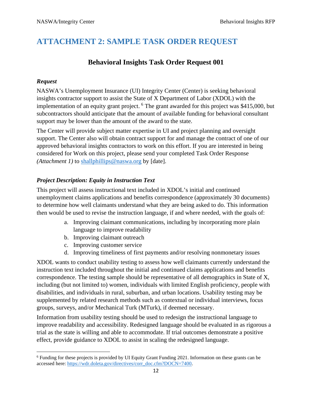# **ATTACHMENT 2: SAMPLE TASK ORDER REQUEST**

## **Behavioral Insights Task Order Request 001**

## *Request*

NASWA's Unemployment Insurance (UI) Integrity Center (Center) is seeking behavioral insights contractor support to assist the State of X Department of Labor (XDOL) with the implementation of an equity grant project. [6](#page-11-0) The grant awarded for this project was \$415,000, but subcontractors should anticipate that the amount of available funding for behavioral consultant support may be lower than the amount of the award to the state.

The Center will provide subject matter expertise in UI and project planning and oversight support. The Center also will obtain contract support for and manage the contract of one of our approved behavioral insights contractors to work on this effort. If you are interested in being considered for Work on this project, please send your completed Task Order Response *(Attachment 1)* to [shallphillips@naswa.org](mailto:shallphillips@naswa.org) by [date].

## *Project Description: Equity in Instruction Text*

This project will assess instructional text included in XDOL's initial and continued unemployment claims applications and benefits correspondence (approximately 30 documents) to determine how well claimants understand what they are being asked to do. This information then would be used to revise the instruction language, if and where needed, with the goals of:

- a. Improving claimant communications, including by incorporating more plain language to improve readability
- b. Improving claimant outreach
- c. Improving customer service
- d. Improving timeliness of first payments and/or resolving nonmonetary issues

XDOL wants to conduct usability testing to assess how well claimants currently understand the instruction text included throughout the initial and continued claims applications and benefits correspondence. The testing sample should be representative of all demographics in State of X, including (but not limited to) women, individuals with limited English proficiency, people with disabilities, and individuals in rural, suburban, and urban locations. Usability testing may be supplemented by related research methods such as contextual or individual interviews, focus groups, surveys, and/or Mechanical Turk (MTurk), if deemed necessary.

Information from usability testing should be used to redesign the instructional language to improve readability and accessibility. Redesigned language should be evaluated in as rigorous a trial as the state is willing and able to accommodate. If trial outcomes demonstrate a positive effect, provide guidance to XDOL to assist in scaling the redesigned language.

<span id="page-11-0"></span><sup>&</sup>lt;sup>6</sup> Funding for these projects is provided by UI Equity Grant Funding 2021. Information on these grants can be accessed here: [https://wdr.doleta.gov/directives/corr\\_doc.cfm?DOCN=7400.](https://wdr.doleta.gov/directives/corr_doc.cfm?DOCN=7400)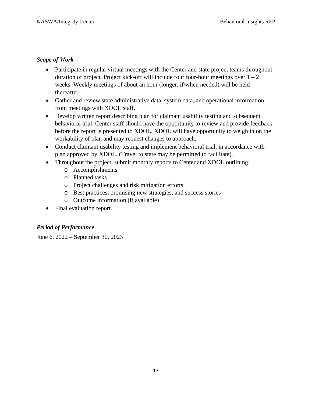### *Scope of Work*

- Participate in regular virtual meetings with the Center and state project teams throughout duration of project. Project kick-off will include four four-hour meetings over  $1 - 2$ weeks. Weekly meetings of about an hour (longer, if/when needed) will be held thereafter.
- Gather and review state administrative data, system data, and operational information from meetings with XDOL staff.
- Develop written report describing plan for claimant usability testing and subsequent behavioral trial. Center staff should have the opportunity to review and provide feedback before the report is presented to XDOL. XDOL will have opportunity to weigh in on the workability of plan and may request changes to approach.
- Conduct claimant usability testing and implement behavioral trial, in accordance with plan approved by XDOL. (Travel to state may be permitted to facilitate).
- Throughout the project, submit monthly reports to Center and XDOL outlining:
	- o Accomplishments
	- o Planned tasks
	- o Project challenges and risk mitigation efforts
	- o Best practices, promising new strategies, and success stories
	- o Outcome information (if available)
- Final evaluation report.

## *Period of Performance*

June 6, 2022 – September 30, 2023